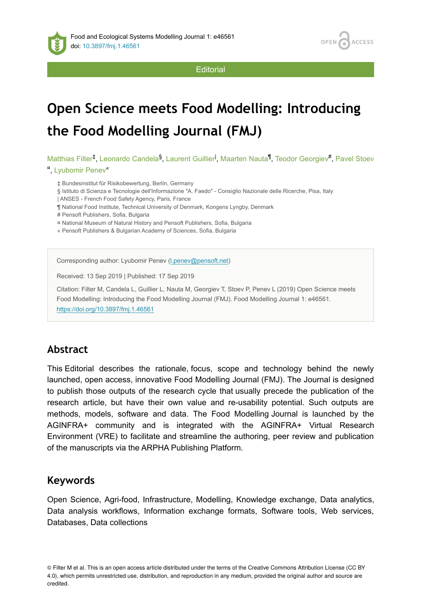

**ACCESS OPEN** 

**Editorial** 

# **Open Science meets Food Modelling: Introducing the Food Modelling Journal (FMJ)**

Matthias Filter<sup>‡</sup>, Leonardo Candela<sup>§</sup>, Laurent Guillier<sup>I</sup>, Maarten Nauta<sup>¶</sup>, Teodor Georgiev<sup>#</sup>, Pavel Stoev

#### <sup>n</sup>, Lyubomir Penev<sup>«</sup>

- ‡ Bundesinstitut für Risikobewertung, Berlin, Germany
- § Istituto di Scienza e Tecnologie dell'Informazione "A. Faedo" Consiglio Nazionale delle Ricerche, Pisa, Italy
- | ANSES French Food Safety Agency, Paris, France
- ¶ National Food Institute, Technical University of Denmark, Kongens Lyngby, Denmark
- # Pensoft Publishers, Sofia, Bulgaria
- ¤ National Museum of Natural History and Pensoft Publishers, Sofia, Bulgaria
- « Pensoft Publishers & Bulgarian Academy of Sciences, Sofia, Bulgaria

Corresponding author: Lyubomir Penev [\(l.penev@pensoft.net](mailto:l.penev@pensoft.net))

Received: 13 Sep 2019 | Published: 17 Sep 2019

Citation: Filter M, Candela L, Guillier L, Nauta M, Georgiev T, Stoev P, Penev L (2019) Open Science meets Food Modelling: Introducing the Food Modelling Journal (FMJ). Food Modelling Journal 1: e46561. <https://doi.org/10.3897/fmj.1.46561>

## **Abstract**

This Editorial describes the rationale, focus, scope and technology behind the newly launched, open access, innovative Food Modelling Journal (FMJ). The Journal is designed to publish those outputs of the research cycle that usually precede the publication of the research article, but have their own value and re-usability potential. Such outputs are methods, models, software and data. The Food Modelling Journal is launched by the AGINFRA+ community and is integrated with the AGINFRA+ Virtual Research Environment (VRE) to facilitate and streamline the authoring, peer review and publication of the manuscripts via the ARPHA Publishing Platform.

### **Keywords**

Open Science, Agri-food, Infrastructure, Modelling, Knowledge exchange, Data analytics, Data analysis workflows, Information exchange formats, Software tools, Web services, Databases, Data collections

<sup>©</sup> Filter M et al. This is an open access article distributed under the terms of the Creative Commons Attribution License (CC BY 4.0), which permits unrestricted use, distribution, and reproduction in any medium, provided the original author and source are credited.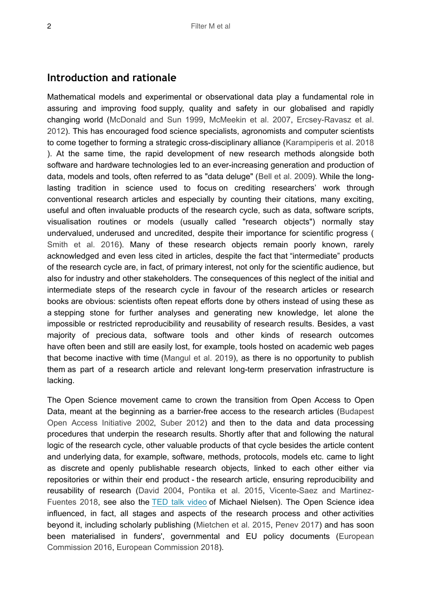#### **Introduction and rationale**

Mathematical models and experimental or observational data play a fundamental role in assuring and improving food supply, quality and safety in our globalised and rapidly changing world ([McDonald and Sun 1999,](#page-6-0) [McMeekin et al. 2007,](#page-6-1) [Ercsey-Ravasz et al.](#page-6-2) [2012](#page-6-2)). This has encouraged food science specialists, agronomists and computer scientists to come together to forming a strategic cross-disciplinary alliance [\(Karampiperis et al. 2018](#page-6-3) ). At the same time, the rapid development of new research methods alongside both software and hardware technologies led to an ever-increasing generation and production of data, models and tools, often referred to as "data deluge" ([Bell et al. 2009\)](#page-5-0). While the longlasting tradition in science used to focus on crediting researchers' work through conventional research articles and especially by counting their citations, many exciting, useful and often invaluable products of the research cycle, such as data, software scripts, visualisation routines or models (usually called "research objects") normally stay undervalued, underused and uncredited, despite their importance for scientific progress ( [Smith et al. 2016](#page-7-0)). Many of these research objects remain poorly known, rarely acknowledged and even less cited in articles, despite the fact that "intermediate" products of the research cycle are, in fact, of primary interest, not only for the scientific audience, but also for industry and other stakeholders. The consequences of this neglect of the initial and intermediate steps of the research cycle in favour of the research articles or research books are obvious: scientists often repeat efforts done by others instead of using these as a stepping stone for further analyses and generating new knowledge, let alone the impossible or restricted reproducibility and reusability of research results. Besides, a vast majority of precious data, software tools and other kinds of research outcomes have often been and still are easily lost, for example, tools hosted on academic web pages that become inactive with time [\(Mangul et al. 2019\)](#page-6-4), as there is no opportunity to publish them as part of a research article and relevant long-term preservation infrastructure is lacking.

The Open Science movement came to crown the transition from Open Access to Open Data, meant at the beginning as a barrier-free access to the research articles [\(Budapest](#page-5-1) [Open Access Initiative 2002,](#page-5-1) [Suber 2012](#page-7-1)) and then to the data and data processing procedures that underpin the research results. Shortly after that and following the natural logic of the research cycle, other valuable products of that cycle besides the article content and underlying data, for example, software, methods, protocols, models etc. came to light as discrete and openly publishable research objects, linked to each other either via repositories or within their end product - the research article, ensuring reproducibility and reusability of research ([David 2004,](#page-6-5) [Pontika et al. 2015,](#page-7-2) [Vicente-Saez and Martinez-](#page-7-3)[Fuentes 2018,](#page-7-3) see also the [TED talk video](http://www.youtube.com/watch?v=DnWocYKqvhw) of Michael Nielsen). The Open Science idea influenced, in fact, all stages and aspects of the research process and other activities beyond it, including scholarly publishing ([Mietchen et al. 2015](#page-6-6), [Penev 2017](#page-6-7)) and has soon been materialised in funders', governmental and EU policy documents [\(European](#page-6-8) [Commission 2016](#page-6-8), [European Commission 2018](#page-6-9)).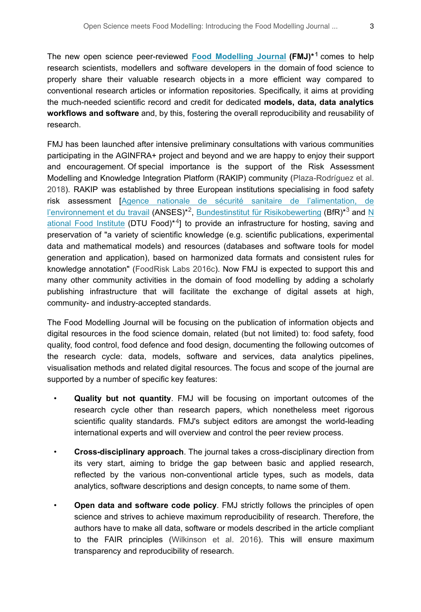The new open science peer-reviewed [Food Modelling Journal](http://fmj.pensoft.net) (FMJ)<sup>\*[1](#page-7-4)</sup> comes to help research scientists, modellers and software developers in the domain of food science to properly share their valuable research objects in a more efficient way compared to conventional research articles or information repositories. Specifically, it aims at providing the much-needed scientific record and credit for dedicated **models, data, data analytics workflows and software** and, by this, fostering the overall reproducibility and reusability of research.

FMJ has been launched after intensive preliminary consultations with various communities participating in the AGINFRA+ project and beyond and we are happy to enjoy their support and encouragement. Of special importance is the support of the Risk Assessment Modelling and Knowledge Integration Platform (RAKIP) community ([Plaza-Rodríguez et al.](#page-6-10) [2018](#page-6-10)). RAKIP was established by three European institutions specialising in food safety risk assessment [[Agence nationale de sécurité sanitaire de l'alimentation, de](http://www.anses.fr/fr) [l'environnement et du travail](http://www.anses.fr/fr) (ANSES)<sup>\*2</sup>, [Bundestinstitut für Risikobewerting](https://www.bfr.bund.de/de/start.html) (BfR)<sup>\*3</sup> and [N](http://www.food.dtu.dk/english) [ational Food Institute](http://www.food.dtu.dk/english) (DTU Food)<sup>\*4</sup>] to provide an infrastructure for hosting, saving and preservation of "a variety of scientific knowledge (e.g. scientific publications, experimental data and mathematical models) and resources (databases and software tools for model generation and application), based on harmonized data formats and consistent rules for knowledge annotation" [\(FoodRisk Labs 2016c\)](#page-6-11). Now FMJ is expected to support this and many other community activities in the domain of food modelling by adding a scholarly publishing infrastructure that will facilitate the exchange of digital assets at high, community- and industry-accepted standards.

The Food Modelling Journal will be focusing on the publication of information objects and digital resources in the food science domain, related (but not limited) to: food safety, food quality, food control, food defence and food design, documenting the following outcomes of the research cycle: data, models, software and services, data analytics pipelines, visualisation methods and related digital resources. The focus and scope of the journal are supported by a number of specific key features:

- **Quality but not quantity**. FMJ will be focusing on important outcomes of the research cycle other than research papers, which nonetheless meet rigorous scientific quality standards. FMJ's subject editors are amongst the world-leading international experts and will overview and control the peer review process.
- **Cross-disciplinary approach**. The journal takes a cross-disciplinary direction from its very start, aiming to bridge the gap between basic and applied research, reflected by the various non-conventional article types, such as models, data analytics, software descriptions and design concepts, to name some of them.
- **Open data and software code policy**. FMJ strictly follows the principles of open science and strives to achieve maximum reproducibility of research. Therefore, the authors have to make all data, software or models described in the article compliant to the FAIR principles ([Wilkinson et al. 2016\)](#page-7-8). This will ensure maximum transparency and reproducibility of research.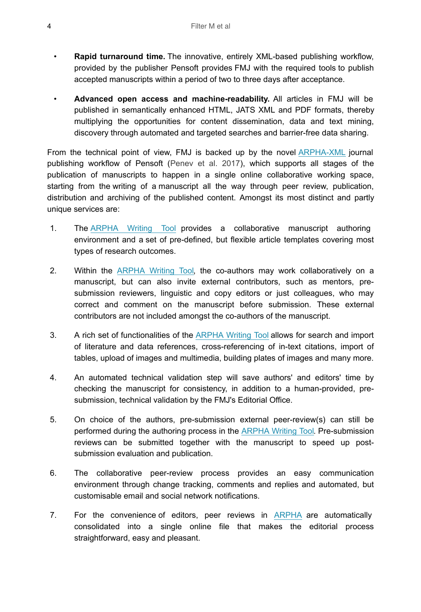- **Rapid turnaround time.** The innovative, entirely XML-based publishing workflow, provided by the publisher Pensoft provides FMJ with the required tools to publish accepted manuscripts within a period of two to three days after acceptance.
- **Advanced open access and machine-readability.** All articles in FMJ will be published in semantically enhanced HTML, JATS XML and PDF formats, thereby multiplying the opportunities for content dissemination, data and text mining, discovery through automated and targeted searches and barrier-free data sharing.

From the technical point of view, FMJ is backed up by the novel [ARPHA-XML](http://arphahub.com/about/platform) journal publishing workflow of Pensoft ([Penev et al. 2017\)](#page-6-12), which supports all stages of the publication of manuscripts to happen in a single online collaborative working space, starting from the writing of a manuscript all the way through peer review, publication, distribution and archiving of the published content. Amongst its most distinct and partly unique services are:

- 1. The [ARPHA Writing Tool](http://arpha.pensoft.net/) provides a collaborative manuscript authoring environment and a set of pre-defined, but flexible article templates covering most types of research outcomes.
- 2. Within the [ARPHA Writing Tool,](http://arpha.pensoft.net/) the co-authors may work collaboratively on a manuscript, but can also invite external contributors, such as mentors, presubmission reviewers, linguistic and copy editors or just colleagues, who may correct and comment on the manuscript before submission. These external contributors are not included amongst the co-authors of the manuscript.
- 3. A rich set of functionalities of the [ARPHA Writing Tool](http://arpha.pensoft.net/) allows for search and import of literature and data references, cross-referencing of in-text citations, import of tables, upload of images and multimedia, building plates of images and many more.
- 4. An automated technical validation step will save authors' and editors' time by checking the manuscript for consistency, in addition to a human-provided, presubmission, technical validation by the FMJ's Editorial Office.
- 5. On choice of the authors, pre-submission external peer-review(s) can still be performed during the authoring process in the [ARPHA Writing Tool](http://arpha.pensoft.net/). Pre-submission reviews can be submitted together with the manuscript to speed up postsubmission evaluation and publication.
- 6. The collaborative peer-review process provides an easy communication environment through change tracking, comments and replies and automated, but customisable email and social network notifications.
- 7. For the convenience of editors, peer reviews in [ARPHA](http://arphahub.com/) are automatically consolidated into a single online file that makes the editorial process straightforward, easy and pleasant.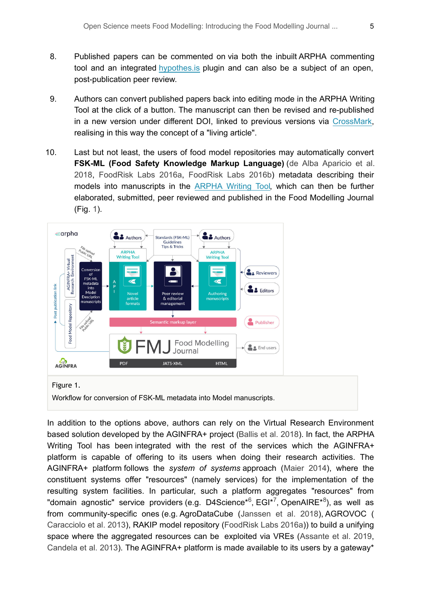- 8. Published papers can be commented on via both the inbuilt ARPHA commenting tool and an integrated [hypothes.is](https://web.hypothes.is/) plugin and can also be a subject of an open, post-publication peer review.
- 9. Authors can convert published papers back into editing mode in the ARPHA Writing Tool at the click of a button. The manuscript can then be revised and re-published in a new version under different DOI, linked to previous versions via [CrossMark,](https://www.crossref.org/services/crossmark/) realising in this way the concept of a "living article".
- 10. Last but not least, the users of food model repositories may automatically convert **FSK-ML (Food Safety Knowledge Markup Language)** ([de Alba Aparicio et al.](#page-6-13) [2018](#page-6-13), [FoodRisk Labs 2016a](#page-6-14), [FoodRisk Labs 2016b\)](#page-6-15) metadata describing their models into manuscripts in the [ARPHA Writing Tool,](http://arpha.pensoft.net/) which can then be further elaborated, submitted, peer reviewed and published in the Food Modelling Journal (Fig. [1\)](#page-4-0).

<span id="page-4-0"></span>

Workflow for conversion of FSK-ML metadata into Model manuscripts.

In addition to the options above, authors can rely on the Virtual Research Environment based solution developed by the AGINFRA+ project [\(Ballis et al. 2018\)](#page-5-2). In fact, the ARPHA Writing Tool has been integrated with the rest of the services which the AGINFRA+ platform is capable of offering to its users when doing their research activities. The AGINFRA+ platform follows the *system of systems* approach ([Maier 2014\)](#page-6-16), where the constituent systems offer "resources" (namely services) for the implementation of the resulting system facilities. In particular, such a platform aggregates "resources" from "domain agnostic" service providers (e.g. D4Science\*<sup>6</sup>, EGI\*<sup>7</sup>, OpenAIRE\*<sup>8</sup>), as well as from community-specific ones (e.g. AgroDataCube [\(Janssen et al. 2018\)](#page-6-17), AGROVOC ( [Caracciolo et al. 2013\)](#page-6-18), RAKIP model repository [\(FoodRisk Labs 2016a\)](#page-6-14)) to build a unifying space where the aggregated resources can be exploited via VREs ([Assante et al. 2019,](#page-5-3) [Candela et al. 2013\)](#page-6-19). The AGINFRA+ platform is made available to its users by a gateway\*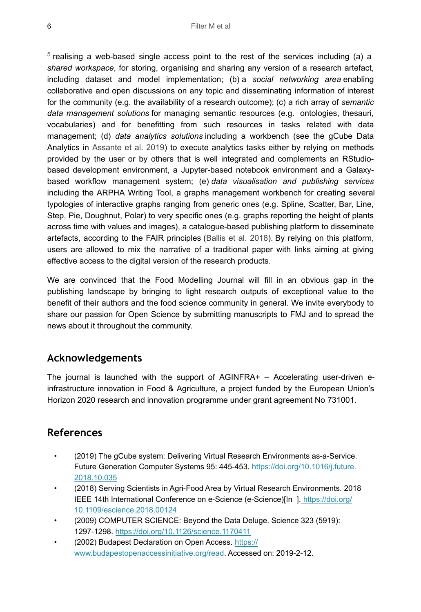$5$  realising a web-based single access point to the rest of the services including (a) a *shared workspace*, for storing, organising and sharing any version of a research artefact, including dataset and model implementation; (b) a *social networking area* enabling collaborative and open discussions on any topic and disseminating information of interest for the community (e.g. the availability of a research outcome); (c) a rich array of *semantic data management solutions* for managing semantic resources (e.g. ontologies, thesauri, vocabularies) and for benefitting from such resources in tasks related with data management; (d) *data analytics solutions* including a workbench (see the gCube Data Analytics in [Assante et al. 2019\)](#page-5-3) to execute analytics tasks either by relying on methods provided by the user or by others that is well integrated and complements an RStudiobased development environment, a Jupyter-based notebook environment and a Galaxybased workflow management system; (e) *data visualisation and publishing services* including the ARPHA Writing Tool, a graphs management workbench for creating several typologies of interactive graphs ranging from generic ones (e.g. Spline, Scatter, Bar, Line, Step, Pie, Doughnut, Polar) to very specific ones (e.g. graphs reporting the height of plants across time with values and images), a catalogue-based publishing platform to disseminate artefacts, according to the FAIR principles ([Ballis et al. 2018\)](#page-5-2). By relying on this platform, users are allowed to mix the narrative of a traditional paper with links aiming at giving effective access to the digital version of the research products.

We are convinced that the Food Modelling Journal will fill in an obvious gap in the publishing landscape by bringing to light research outputs of exceptional value to the benefit of their authors and the food science community in general. We invite everybody to share our passion for Open Science by submitting manuscripts to FMJ and to spread the news about it throughout the community.

## **Acknowledgements**

The journal is launched with the support of AGINFRA+ – Accelerating user-driven einfrastructure innovation in Food & Agriculture, a project funded by the European Union's Horizon 2020 research and innovation programme under grant agreement No 731001.

## **References**

- <span id="page-5-3"></span>• (2019) The gCube system: Delivering Virtual Research Environments as-a-Service. Future Generation Computer Systems 95: 445-453. [https://doi.org/10.1016/j.future.](https://doi.org/10.1016/j.future.2018.10.035) [2018.10.035](https://doi.org/10.1016/j.future.2018.10.035)
- <span id="page-5-2"></span>• (2018) Serving Scientists in Agri-Food Area by Virtual Research Environments. 2018 IEEE 14th International Conference on e-Science (e-Science)[In ][. https://doi.org/](https://doi.org/10.1109/escience.2018.00124) [10.1109/escience.2018.00124](https://doi.org/10.1109/escience.2018.00124)
- <span id="page-5-0"></span>• (2009) COMPUTER SCIENCE: Beyond the Data Deluge. Science 323 (5919): 1297‑1298.<https://doi.org/10.1126/science.1170411>
- <span id="page-5-1"></span>• (2002) Budapest Declaration on Open Access. [https://](https://www.budapestopenaccessinitiative.org/read) [www.budapestopenaccessinitiative.org/read.](https://www.budapestopenaccessinitiative.org/read) Accessed on: 2019-2-12.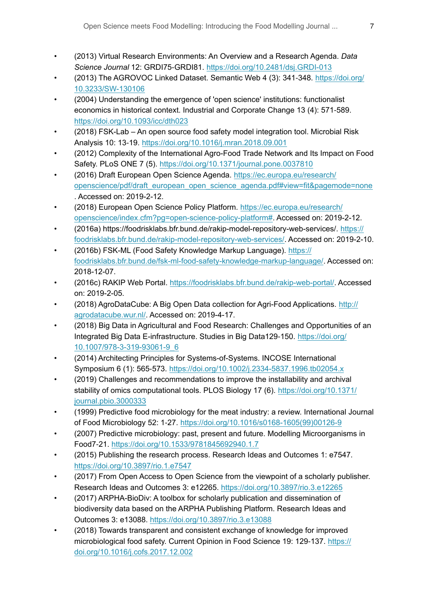- <span id="page-6-19"></span>• (2013) Virtual Research Environments: An Overview and a Research Agenda. *Data Science Journal* 12: GRDI75‑GRDI81.<https://doi.org/10.2481/dsj.GRDI-013>
- <span id="page-6-18"></span>• (2013) The AGROVOC Linked Dataset. Semantic Web 4 (3): 341‑348. [https://doi.org/](https://doi.org/10.3233/SW-130106) [10.3233/SW-130106](https://doi.org/10.3233/SW-130106)
- <span id="page-6-5"></span>• (2004) Understanding the emergence of 'open science' institutions: functionalist economics in historical context. Industrial and Corporate Change 13 (4): 571‑589. <https://doi.org/10.1093/icc/dth023>
- <span id="page-6-13"></span>• (2018) FSK-Lab – An open source food safety model integration tool. Microbial Risk Analysis 10: 13‑19. <https://doi.org/10.1016/j.mran.2018.09.001>
- <span id="page-6-2"></span>• (2012) Complexity of the International Agro-Food Trade Network and Its Impact on Food Safety. PLoS ONE 7 (5).<https://doi.org/10.1371/journal.pone.0037810>
- <span id="page-6-8"></span>• (2016) Draft European Open Science Agenda. [https://ec.europa.eu/research/](https://ec.europa.eu/research/openscience/pdf/draft_european_open_science_agenda.pdf#view=fit&pagemode=none) [openscience/pdf/draft\\_european\\_open\\_science\\_agenda.pdf#view=fit&pagemode=none](https://ec.europa.eu/research/openscience/pdf/draft_european_open_science_agenda.pdf#view=fit&pagemode=none) . Accessed on: 2019-2-12.
- <span id="page-6-9"></span>• (2018) European Open Science Policy Platform. [https://ec.europa.eu/research/](https://ec.europa.eu/research/openscience/index.cfm?pg=open-science-policy-platform#) [openscience/index.cfm?pg=open-science-policy-platform#.](https://ec.europa.eu/research/openscience/index.cfm?pg=open-science-policy-platform#) Accessed on: 2019-2-12.
- <span id="page-6-14"></span>• (2016a) https://foodrisklabs.bfr.bund.de/rakip-model-repository-web-services/. [https://](https://foodrisklabs.bfr.bund.de/rakip-model-repository-web-services/) [foodrisklabs.bfr.bund.de/rakip-model-repository-web-services/.](https://foodrisklabs.bfr.bund.de/rakip-model-repository-web-services/) Accessed on: 2019-2-10.
- <span id="page-6-15"></span>• (2016b) FSK-ML (Food Safety Knowledge Markup Language). [https://](https://foodrisklabs.bfr.bund.de/fsk-ml-food-safety-knowledge-markup-language/) [foodrisklabs.bfr.bund.de/fsk-ml-food-safety-knowledge-markup-language/](https://foodrisklabs.bfr.bund.de/fsk-ml-food-safety-knowledge-markup-language/). Accessed on: 2018-12-07.
- <span id="page-6-11"></span>• (2016c) RAKIP Web Portal. <https://foodrisklabs.bfr.bund.de/rakip-web-portal/>. Accessed on: 2019-2-05.
- <span id="page-6-17"></span>• (2018) AgroDataCube: A Big Open Data collection for Agri-Food Applications. [http://](http://agrodatacube.wur.nl/) [agrodatacube.wur.nl/.](http://agrodatacube.wur.nl/) Accessed on: 2019-4-17.
- <span id="page-6-3"></span>• (2018) Big Data in Agricultural and Food Research: Challenges and Opportunities of an Integrated Big Data E-infrastructure. Studies in Big Data129-150. [https://doi.org/](https://doi.org/10.1007/978-3-319-93061-9_6) [10.1007/978-3-319-93061-9\\_6](https://doi.org/10.1007/978-3-319-93061-9_6)
- <span id="page-6-16"></span>• (2014) Architecting Principles for Systems-of-Systems. INCOSE International Symposium 6 (1): 565‑573. <https://doi.org/10.1002/j.2334-5837.1996.tb02054.x>
- <span id="page-6-4"></span>• (2019) Challenges and recommendations to improve the installability and archival stability of omics computational tools. PLOS Biology 17 (6). [https://doi.org/10.1371/](https://doi.org/10.1371/journal.pbio.3000333) [journal.pbio.3000333](https://doi.org/10.1371/journal.pbio.3000333)
- <span id="page-6-0"></span>• (1999) Predictive food microbiology for the meat industry: a review. International Journal of Food Microbiology 52: 1‑27. [https://doi.org/10.1016/s0168-1605\(99\)00126-9](https://doi.org/10.1016/s0168-1605(99)00126-9)
- <span id="page-6-1"></span>• (2007) Predictive microbiology: past, present and future. Modelling Microorganisms in Food7‑21. <https://doi.org/10.1533/9781845692940.1.7>
- <span id="page-6-6"></span>• (2015) Publishing the research process. Research Ideas and Outcomes 1: e7547. <https://doi.org/10.3897/rio.1.e7547>
- <span id="page-6-7"></span>• (2017) From Open Access to Open Science from the viewpoint of a scholarly publisher. Research Ideas and Outcomes 3: e12265.<https://doi.org/10.3897/rio.3.e12265>
- <span id="page-6-12"></span>• (2017) ARPHA-BioDiv: A toolbox for scholarly publication and dissemination of biodiversity data based on the ARPHA Publishing Platform. Research Ideas and Outcomes 3: e13088. <https://doi.org/10.3897/rio.3.e13088>
- <span id="page-6-10"></span>• (2018) Towards transparent and consistent exchange of knowledge for improved microbiological food safety. Current Opinion in Food Science 19: 129-137. [https://](https://doi.org/10.1016/j.cofs.2017.12.002) [doi.org/10.1016/j.cofs.2017.12.002](https://doi.org/10.1016/j.cofs.2017.12.002)